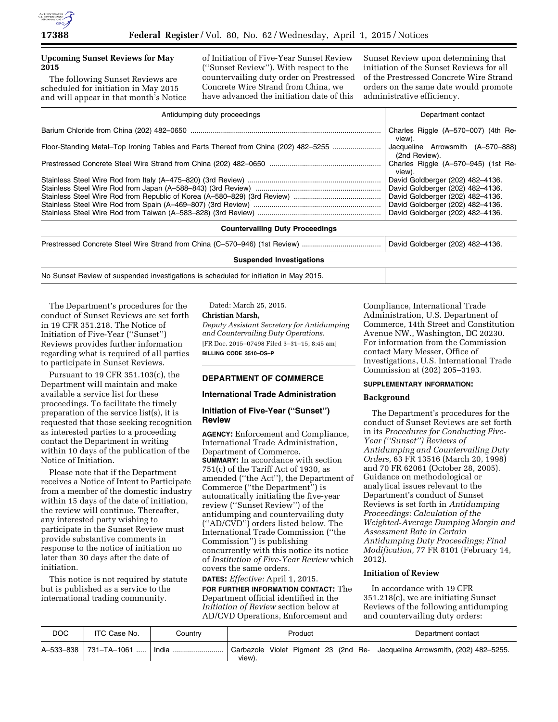

# **Upcoming Sunset Reviews for May 2015**

The following Sunset Reviews are scheduled for initiation in May 2015 and will appear in that month's Notice of Initiation of Five-Year Sunset Review (''Sunset Review''). With respect to the countervailing duty order on Prestressed Concrete Wire Strand from China, we have advanced the initiation date of this

Sunset Review upon determining that initiation of the Sunset Reviews for all of the Prestressed Concrete Wire Strand orders on the same date would promote administrative efficiency.

| Antidumping duty proceedings                                                        | Department contact                                 |  |  |
|-------------------------------------------------------------------------------------|----------------------------------------------------|--|--|
|                                                                                     | Charles Riggle (A-570-007) (4th Re-<br>view).      |  |  |
| Floor-Standing Metal–Top Ironing Tables and Parts Thereof from China (202) 482–5255 | Jacqueline Arrowsmith (A-570-888)<br>(2nd Review). |  |  |
|                                                                                     | Charles Riggle (A-570-945) (1st Re-<br>view).      |  |  |
|                                                                                     | David Goldberger (202) 482-4136.                   |  |  |
|                                                                                     | David Goldberger (202) 482-4136.                   |  |  |
|                                                                                     | David Goldberger (202) 482-4136.                   |  |  |
|                                                                                     | David Goldberger (202) 482-4136.                   |  |  |
|                                                                                     | David Goldberger (202) 482-4136.                   |  |  |
| <b>Countervailing Duty Proceedings</b>                                              |                                                    |  |  |
|                                                                                     | David Goldberger (202) 482-4136.                   |  |  |
| <b>Suspended Investigations</b>                                                     |                                                    |  |  |
|                                                                                     |                                                    |  |  |

No Sunset Review of suspended investigations is scheduled for initiation in May 2015.

The Department's procedures for the conduct of Sunset Reviews are set forth in 19 CFR 351.218. The Notice of Initiation of Five-Year (''Sunset'') Reviews provides further information regarding what is required of all parties to participate in Sunset Reviews.

Pursuant to 19 CFR 351.103(c), the Department will maintain and make available a service list for these proceedings. To facilitate the timely preparation of the service list(s), it is requested that those seeking recognition as interested parties to a proceeding contact the Department in writing within 10 days of the publication of the Notice of Initiation.

Please note that if the Department receives a Notice of Intent to Participate from a member of the domestic industry within 15 days of the date of initiation, the review will continue. Thereafter, any interested party wishing to participate in the Sunset Review must provide substantive comments in response to the notice of initiation no later than 30 days after the date of initiation.

This notice is not required by statute but is published as a service to the international trading community.

Dated: March 25, 2015.

#### **Christian Marsh,**

*Deputy Assistant Secretary for Antidumping and Countervailing Duty Operations.*  [FR Doc. 2015–07498 Filed 3–31–15; 8:45 am] **BILLING CODE 3510–DS–P** 

## **DEPARTMENT OF COMMERCE**

# **International Trade Administration**

#### **Initiation of Five-Year (''Sunset'') Review**

**AGENCY:** Enforcement and Compliance, International Trade Administration, Department of Commerce. **SUMMARY:** In accordance with section  $751(c)$  of the Tariff Act of 1930, as amended (''the Act''), the Department of Commerce (''the Department'') is automatically initiating the five-year review (''Sunset Review'') of the antidumping and countervailing duty (''AD/CVD'') orders listed below. The International Trade Commission (''the Commission'') is publishing concurrently with this notice its notice of *Institution of Five-Year Review* which covers the same orders.

**DATES:** *Effective:* April 1, 2015. **FOR FURTHER INFORMATION CONTACT:** The Department official identified in the *Initiation of Review* section below at AD/CVD Operations, Enforcement and

Compliance, International Trade Administration, U.S. Department of Commerce, 14th Street and Constitution Avenue NW., Washington, DC 20230. For information from the Commission contact Mary Messer, Office of Investigations, U.S. International Trade Commission at (202) 205–3193.

#### **SUPPLEMENTARY INFORMATION:**

#### **Background**

The Department's procedures for the conduct of Sunset Reviews are set forth in its *Procedures for Conducting Five-Year (''Sunset'') Reviews of Antidumping and Countervailing Duty Orders,* 63 FR 13516 (March 20, 1998) and 70 FR 62061 (October 28, 2005). Guidance on methodological or analytical issues relevant to the Department's conduct of Sunset Reviews is set forth in *Antidumping Proceedings: Calculation of the Weighted-Average Dumping Margin and Assessment Rate in Certain Antidumping Duty Proceedings; Final Modification,* 77 FR 8101 (February 14, 2012).

# **Initiation of Review**

In accordance with 19 CFR 351.218(c), we are initiating Sunset Reviews of the following antidumping and countervailing duty orders:

| <b>DOC</b> | ITC Case No.            | Countrv | Product                                                                               | Department contact |
|------------|-------------------------|---------|---------------------------------------------------------------------------------------|--------------------|
|            | A-533-838   731-TA-1061 | ∣ India | Carbazole Violet Pigment 23 (2nd Re- Jacqueline Arrowsmith, (202) 482–5255.<br>view). |                    |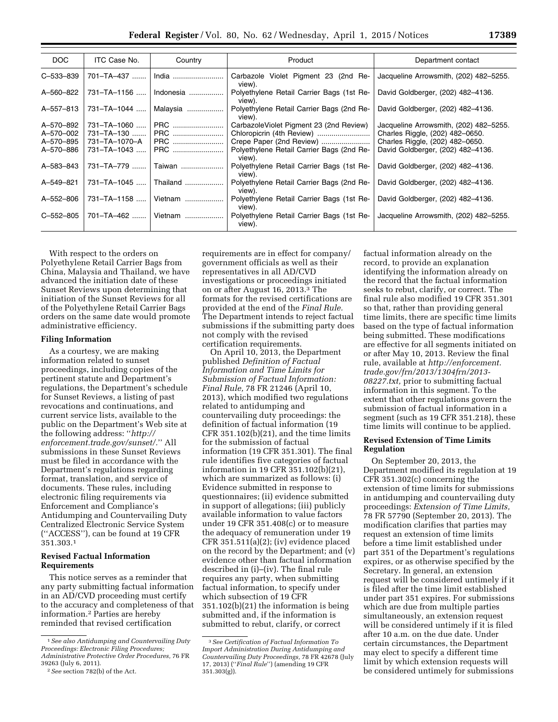| DOC                                              | ITC Case No.                                                     | Country                         | Product                                                                                                                                                 | Department contact                                                                                                                                |
|--------------------------------------------------|------------------------------------------------------------------|---------------------------------|---------------------------------------------------------------------------------------------------------------------------------------------------------|---------------------------------------------------------------------------------------------------------------------------------------------------|
| C-533-839                                        | 701-TA-437                                                       | India                           | Carbazole Violet Pigment 23 (2nd Re-<br>view).                                                                                                          | Jacqueline Arrowsmith, (202) 482-5255.                                                                                                            |
| A-560-822                                        | $731 - TA - 1156$                                                | Indonesia                       | Polyethylene Retail Carrier Bags (1st Re-<br>view).                                                                                                     | David Goldberger, (202) 482-4136.                                                                                                                 |
| A-557-813                                        | 731-TA-1044                                                      | Malaysia                        | Polyethylene Retail Carrier Bags (2nd Re-<br>view).                                                                                                     | David Goldberger, (202) 482-4136.                                                                                                                 |
| A-570-892<br>A-570-002<br>A-570-895<br>A-570-886 | $731 - T_A - 1060$<br>731-TA-130<br>731–TA–1070–A<br>731-TA-1043 | PRC<br>PRC<br><b>PRC</b><br>PRC | CarbazoleViolet Pigment 23 (2nd Review)<br>Chloropicrin (4th Review)<br>Crepe Paper (2nd Review)<br>Polyethylene Retail Carrier Bags (2nd Re-<br>view). | Jacqueline Arrowsmith, (202) 482–5255.<br>Charles Riggle, (202) 482-0650.<br>Charles Riggle, (202) 482-0650.<br>David Goldberger, (202) 482-4136. |
| A-583-843                                        | 731-TA-779                                                       | Taiwan                          | Polyethylene Retail Carrier Bags (1st Re-<br>view).                                                                                                     | David Goldberger, (202) 482-4136.                                                                                                                 |
| A-549-821                                        | $731 - TA - 1045$                                                | Thailand                        | Polyethylene Retail Carrier Bags (2nd Re-<br>view).                                                                                                     | David Goldberger, (202) 482-4136.                                                                                                                 |
| A-552-806                                        | 731-TA-1158                                                      | Vietnam                         | Polyethylene Retail Carrier Bags (1st Re-<br>view).                                                                                                     | David Goldberger, (202) 482-4136.                                                                                                                 |
| $C - 552 - 805$                                  | 701-TA-462                                                       | Vietnam                         | Polyethylene Retail Carrier Bags (1st Re-<br>view).                                                                                                     | Jacqueline Arrowsmith, (202) 482-5255.                                                                                                            |

With respect to the orders on Polyethylene Retail Carrier Bags from China, Malaysia and Thailand, we have advanced the initiation date of these Sunset Reviews upon determining that initiation of the Sunset Reviews for all of the Polyethylene Retail Carrier Bags orders on the same date would promote administrative efficiency.

#### **Filing Information**

As a courtesy, we are making information related to sunset proceedings, including copies of the pertinent statute and Department's regulations, the Department's schedule for Sunset Reviews, a listing of past revocations and continuations, and current service lists, available to the public on the Department's Web site at the following address: ''*[http://](http://enforcement.trade.gov/sunset/) [enforcement.trade.gov/sunset/.](http://enforcement.trade.gov/sunset/)*'' All submissions in these Sunset Reviews must be filed in accordance with the Department's regulations regarding format, translation, and service of documents. These rules, including electronic filing requirements via Enforcement and Compliance's Antidumping and Countervailing Duty Centralized Electronic Service System (''ACCESS''), can be found at 19 CFR 351.303.1

# **Revised Factual Information Requirements**

This notice serves as a reminder that any party submitting factual information in an AD/CVD proceeding must certify to the accuracy and completeness of that information.2 Parties are hereby reminded that revised certification

requirements are in effect for company/ government officials as well as their representatives in all AD/CVD investigations or proceedings initiated on or after August 16, 2013.3 The formats for the revised certifications are provided at the end of the *Final Rule.*  The Department intends to reject factual submissions if the submitting party does not comply with the revised certification requirements.

On April 10, 2013, the Department published *Definition of Factual Information and Time Limits for Submission of Factual Information: Final Rule,* 78 FR 21246 (April 10, 2013), which modified two regulations related to antidumping and countervailing duty proceedings: the definition of factual information (19 CFR 351.102(b)(21), and the time limits for the submission of factual information (19 CFR 351.301). The final rule identifies five categories of factual information in 19 CFR 351.102(b)(21), which are summarized as follows: (i) Evidence submitted in response to questionnaires; (ii) evidence submitted in support of allegations; (iii) publicly available information to value factors under 19 CFR 351.408(c) or to measure the adequacy of remuneration under 19 CFR 351.511(a)(2); (iv) evidence placed on the record by the Department; and (v) evidence other than factual information described in (i)–(iv). The final rule requires any party, when submitting factual information, to specify under which subsection of 19 CFR 351.102(b)(21) the information is being submitted and, if the information is submitted to rebut, clarify, or correct

factual information already on the record, to provide an explanation identifying the information already on the record that the factual information seeks to rebut, clarify, or correct. The final rule also modified 19 CFR 351.301 so that, rather than providing general time limits, there are specific time limits based on the type of factual information being submitted. These modifications are effective for all segments initiated on or after May 10, 2013. Review the final rule, available at *[http://enforcement.](http://enforcement.trade.gov/frn/2013/1304frn/2013-08227.txt) [trade.gov/frn/2013/1304frn/2013-](http://enforcement.trade.gov/frn/2013/1304frn/2013-08227.txt) [08227.txt,](http://enforcement.trade.gov/frn/2013/1304frn/2013-08227.txt)* prior to submitting factual information in this segment. To the extent that other regulations govern the submission of factual information in a segment (such as 19 CFR 351.218), these time limits will continue to be applied.

#### **Revised Extension of Time Limits Regulation**

On September 20, 2013, the Department modified its regulation at 19 CFR 351.302(c) concerning the extension of time limits for submissions in antidumping and countervailing duty proceedings: *Extension of Time Limits,*  78 FR 57790 (September 20, 2013). The modification clarifies that parties may request an extension of time limits before a time limit established under part 351 of the Department's regulations expires, or as otherwise specified by the Secretary. In general, an extension request will be considered untimely if it is filed after the time limit established under part 351 expires. For submissions which are due from multiple parties simultaneously, an extension request will be considered untimely if it is filed after 10 a.m. on the due date. Under certain circumstances, the Department may elect to specify a different time limit by which extension requests will be considered untimely for submissions

<sup>1</sup>*See also Antidumping and Countervailing Duty Proceedings: Electronic Filing Procedures; Administrative Protective Order Procedures,* 76 FR 39263 (July 6, 2011).

<sup>2</sup>*See* section 782(b) of the Act.

<sup>3</sup>*See Certification of Factual Information To Import Administration During Antidumping and Countervailing Duty Proceedings,* 78 FR 42678 (July 17, 2013) (''*Final Rule*'') (amending 19 CFR 351.303(g)).